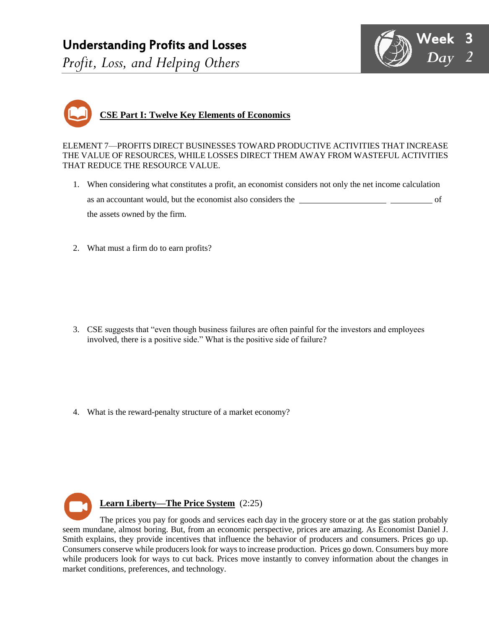# Understanding Profits and Losses *Profit, Loss, and Helping Others*



# **CSE Part I: Twelve Key Elements of Economics**

ELEMENT 7—PROFITS DIRECT BUSINESSES TOWARD PRODUCTIVE ACTIVITIES THAT INCREASE THE VALUE OF RESOURCES, WHILE LOSSES DIRECT THEM AWAY FROM WASTEFUL ACTIVITIES THAT REDUCE THE RESOURCE VALUE.

- 1. When considering what constitutes a profit, an economist considers not only the net income calculation as an accountant would, but the economist also considers the **COPPORTUNITY CONSTS** of the assets owned by the firm.
- 2. What must a firm do to earn profits?

- 3. CSE suggests that "even though business failures are often painful for the investors and employees involved, there is a positive side." What is the positive side of failure?
- 4. What is the reward-penalty structure of a market economy?

**Learn Liberty—The Price System** (2:25) The prices you pay for goods and services each day in the grocery store or at the gas station probably seem mundane, almost boring. But, from an economic perspective, prices are amazing. As Economist Daniel J. Smith explains, they provide incentives that influence the behavior of producers and consumers. Prices go up. Consumers conserve while producers look for ways to increase production. Prices go down. Consumers buy more while producers look for ways to cut back. Prices move instantly to convey information about the changes in market conditions, preferences, and technology.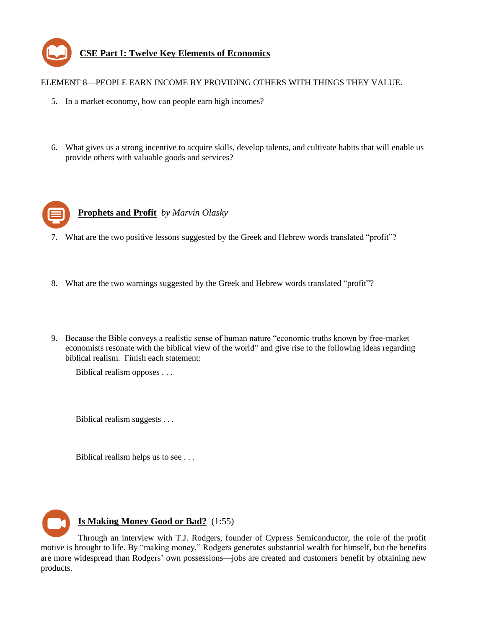

#### ELEMENT 8—PEOPLE EARN INCOME BY PROVIDING OTHERS WITH THINGS THEY VALUE.

- 5. In a market economy, how can people earn high incomes?
- 6. What gives us a strong incentive to acquire skills, develop talents, and cultivate habits that will enable us provide others with valuable goods and services?



**Prophets and Profit** *by Marvin Olasky*

- 7. What are the two positive lessons suggested by the Greek and Hebrew words translated "profit"?
- 8. What are the two warnings suggested by the Greek and Hebrew words translated "profit"?
- 9. Because the Bible conveys a realistic sense of human nature "economic truths known by free-market economists resonate with the biblical view of the world" and give rise to the following ideas regarding biblical realism. Finish each statement:

Biblical realism opposes . . .

Biblical realism suggests . . .

Biblical realism helps us to see . . .



#### **Is Making Money Good or Bad?** (1:55)

Through an interview with T.J. Rodgers, founder of Cypress Semiconductor, the role of the profit motive is brought to life. By "making money," Rodgers generates substantial wealth for himself, but the benefits are more widespread than Rodgers' own possessions-jobs are created and customers benefit by obtaining new products.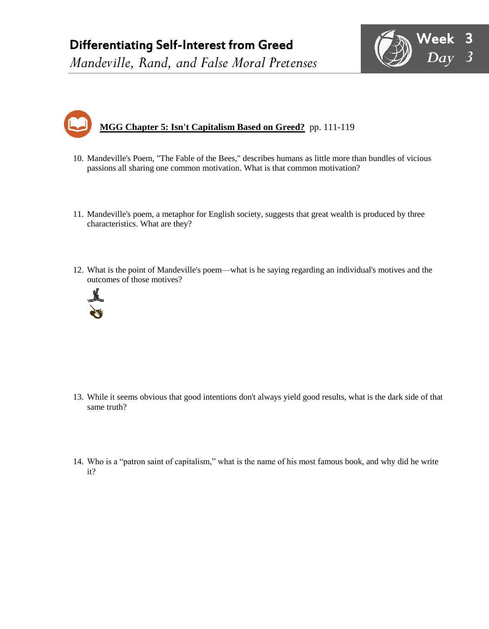# Differentiating Self-Interest from Greed

*Mandeville, Rand, and False Moral Pretenses*





- 10. Mandeville's Poem, "The Fable of the Bees," describes humans as little more than bundles of vicious passions all sharing one common motivation. What is that common motivation?
- 11. Mandeville's poem, a metaphor for English society, suggests that great wealth is produced by three characteristics. What are they?
- 12. What is the point of Mandeville's poem—what is he saying regarding an individual's motives and the outcomes of those motives?



- 13. While it seems obvious that good intentions don't always yield good results, what is the dark side of that same truth?
- 14. Who is a "patron saint of capitalism," what is the name of his most famous book, and why did he write it?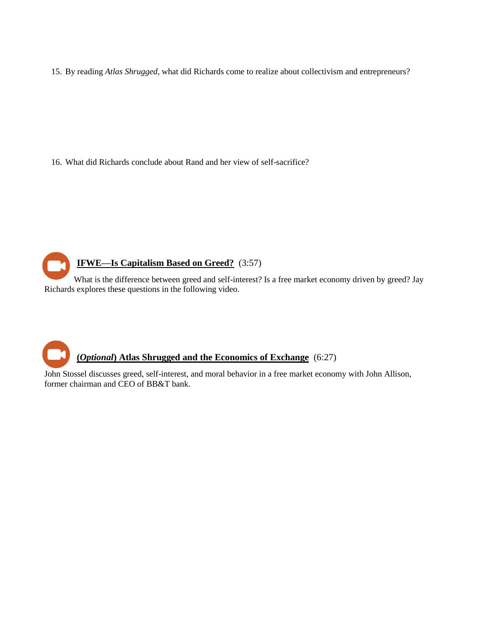15. By reading *Atlas Shrugged*, what did Richards come to realize about collectivism and entrepreneurs?

16. What did Richards conclude about Rand and her view of self-sacrifice?

## **IFWE—Is Capitalism Based on Greed?** (3:57)

What is the difference between greed and self-interest? Is a free market economy driven by greed? Jay Richards explores these questions in the following video.

## **(***Optional***) Atlas Shrugged and the Economics of Exchange** (6:27)

John Stossel discusses greed, self-interest, and moral behavior in a free market economy with John Allison, former chairman and CEO of BB&T bank.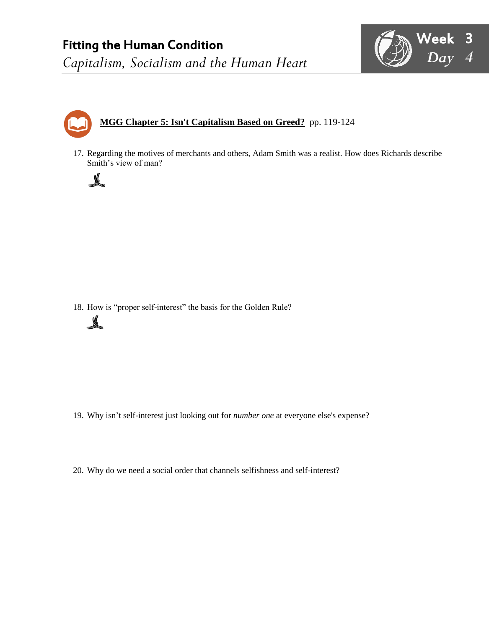

# **MGG Chapter 5: Isn't Capitalism Based on Greed?** pp. 119-124

17. Regarding the motives of merchants and others, Adam Smith was a realist. How does Richards describe Smith's view of man?

18. How is "proper self-interest" the basis for the Golden Rule?



 $\sqrt{2}$ 

- 19. Why isn't self-interest just looking out for *number one* at everyone else's expense?
- 20. Why do we need a social order that channels selfishness and self-interest?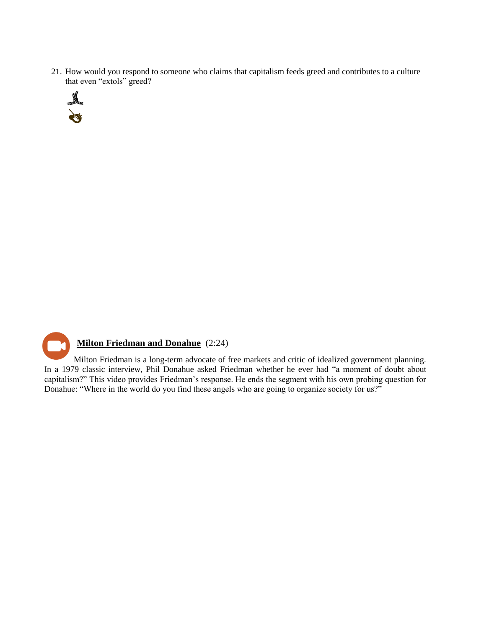21. How would you respond to someone who claims that capitalism feeds greed and contributes to a culture that even "extols" greed?





Milton Friedman is a long-term advocate of free markets and critic of idealized government planning. In a 1979 classic interview, Phil Donahue asked Friedman whether he ever had "a moment of doubt about capitalism?" This video provides Friedman's response. He ends the segment with his own probing question for Donahue: "Where in the world do you find these angels who are going to organize society for us?"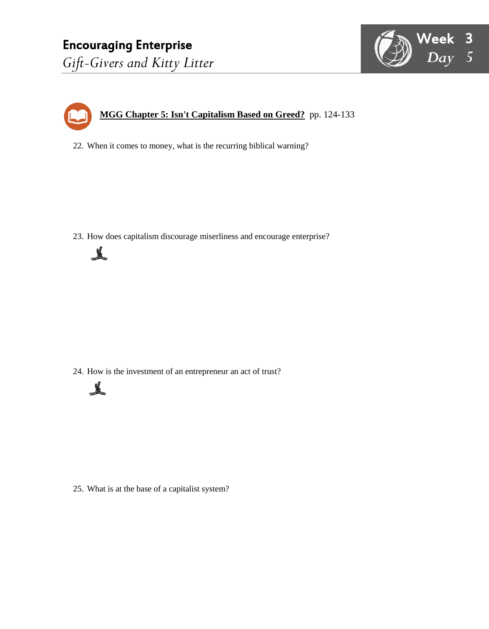



22. When it comes to money, what is the recurring biblical warning?

23. How does capitalism discourage miserliness and encourage enterprise?



24. How is the investment of an entrepreneur an act of trust?



25. What is at the base of a capitalist system?